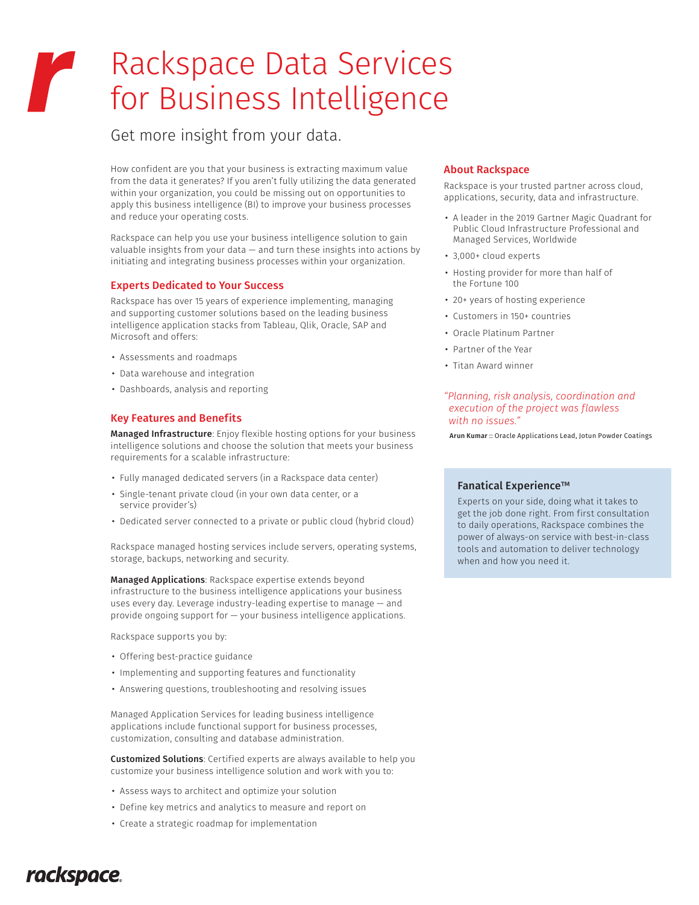# Rackspace Data Services for Business Intelligence

Get more insight from your data.

How confident are you that your business is extracting maximum value from the data it generates? If you aren't fully utilizing the data generated within your organization, you could be missing out on opportunities to apply this business intelligence (BI) to improve your business processes and reduce your operating costs.

Rackspace can help you use your business intelligence solution to gain valuable insights from your data — and turn these insights into actions by initiating and integrating business processes within your organization.

### Experts Dedicated to Your Success

Rackspace has over 15 years of experience implementing, managing and supporting customer solutions based on the leading business intelligence application stacks from Tableau, Qlik, Oracle, SAP and Microsoft and offers:

- Assessments and roadmaps
- Data warehouse and integration
- Dashboards, analysis and reporting

## Key Features and Benefits

Managed Infrastructure: Enjoy flexible hosting options for your business intelligence solutions and choose the solution that meets your business requirements for a scalable infrastructure:

- Fully managed dedicated servers (in a Rackspace data center)
- Single-tenant private cloud (in your own data center, or a service provider's)
- Dedicated server connected to a private or public cloud (hybrid cloud)

Rackspace managed hosting services include servers, operating systems, storage, backups, networking and security.

Managed Applications: Rackspace expertise extends beyond infrastructure to the business intelligence applications your business uses every day. Leverage industry-leading expertise to manage — and provide ongoing support for — your business intelligence applications.

Rackspace supports you by:

- Offering best-practice guidance
- Implementing and supporting features and functionality
- Answering questions, troubleshooting and resolving issues

Managed Application Services for leading business intelligence applications include functional support for business processes, customization, consulting and database administration.

Customized Solutions: Certified experts are always available to help you customize your business intelligence solution and work with you to:

- Assess ways to architect and optimize your solution
- Define key metrics and analytics to measure and report on
- Create a strategic roadmap for implementation

#### About Rackspace

Rackspace is your trusted partner across cloud, applications, security, data and infrastructure.

- A leader in the 2019 Gartner Magic Quadrant for Public Cloud Infrastructure Professional and Managed Services, Worldwide
- 3,000+ cloud experts
- Hosting provider for more than half of the Fortune 100
- 20+ years of hosting experience
- Customers in 150+ countries
- Oracle Platinum Partner
- Partner of the Year
- Titan Award winner

#### *"Planning, risk analysis, coordination and execution of the project was flawless with no issues."*

Arun Kumar :: Oracle Applications Lead, Jotun Powder Coatings

#### Fanatical Experience™

Experts on your side, doing what it takes to get the job done right. From first consultation to daily operations, Rackspace combines the power of always-on service with best-in-class tools and automation to deliver technology when and how you need it.